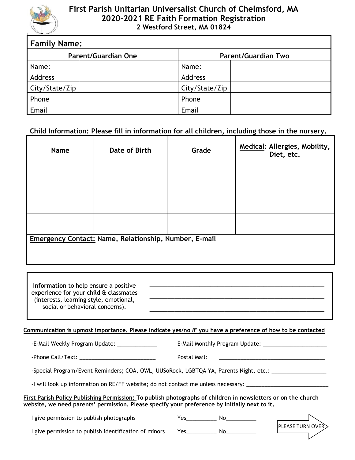

# **First Parish Unitarian Universalist Church of Chelmsford, MA 2020-2021 RE Faith Formation Registration 2 Westford Street, MA 01824**

| <b>Family Name:</b>        |  |                            |  |  |
|----------------------------|--|----------------------------|--|--|
| <b>Parent/Guardian One</b> |  | <b>Parent/Guardian Two</b> |  |  |
| Name:                      |  | Name:                      |  |  |
| Address                    |  | Address                    |  |  |
| City/State/Zip             |  | City/State/Zip             |  |  |
| Phone                      |  | Phone                      |  |  |
| Email                      |  | Email                      |  |  |

# **Child Information: Please fill in information for all children, including those in the nursery.**

| <b>Name</b> | Date of Birth                                                | Grade | Medical: Allergies, Mobility,<br>Diet, etc. |
|-------------|--------------------------------------------------------------|-------|---------------------------------------------|
|             |                                                              |       |                                             |
|             |                                                              |       |                                             |
|             |                                                              |       |                                             |
|             | <b>Emergency Contact: Name, Relationship, Number, E-mail</b> |       |                                             |

| Information to help ensure a positive  |  |  |
|----------------------------------------|--|--|
| experience for your child & classmates |  |  |
| (interests, learning style, emotional, |  |  |
| social or behavioral concerns).        |  |  |

### **Communication is upmost importance. Please indicate yes/no** *IF* **you have a preference of how to be contacted**

-E-Mail Weekly Program Update: \_\_\_\_\_\_\_\_\_\_\_\_\_ E-Mail Monthly Program Update: \_\_\_\_\_\_\_\_\_\_\_\_\_\_\_\_\_\_\_\_\_

-Phone Call/Text: \_\_\_\_\_\_\_\_\_\_\_\_\_\_\_\_\_\_\_\_\_\_\_\_\_ Postal Mail: \_\_\_\_\_\_\_\_\_\_\_\_\_\_\_\_\_\_\_\_\_\_\_\_\_\_\_\_\_\_\_\_\_\_\_

-Special Program/Event Reminders; COA, OWL, UUSoRock, LGBTQA YA, Parents Night, etc.: \_\_\_\_\_\_\_\_\_\_\_\_\_

-I will look up information on RE/FF website; do not contact me unless necessary: \_\_\_\_\_

#### **First Parish Policy Publishing Permission: To publish photographs of children in newsletters or on the church website, we need parents' permission. Please specify your preference by initially next to it.**

I give permission to publish photographs Tes\_\_\_\_\_\_\_\_\_\_ No\_\_\_\_\_\_\_\_\_\_

I give permission to publish identification of minors Yes\_\_\_\_\_\_\_\_\_\_ No\_\_\_\_\_\_\_\_\_\_

**\_\_\_\_\_\_\_\_\_\_\_\_\_\_\_\_\_\_\_\_\_\_\_\_\_\_\_\_\_\_\_\_\_\_\_\_\_\_\_\_\_\_\_\_\_\_\_\_\_**

**\_\_\_\_\_\_\_\_\_\_\_\_\_\_\_\_\_\_\_\_\_\_\_\_\_\_\_\_\_\_\_\_\_\_\_\_\_\_\_\_\_\_\_\_\_\_\_\_\_**

**\_\_\_\_\_\_\_\_\_\_\_\_\_\_\_\_\_\_\_\_\_\_\_\_\_\_\_\_\_\_\_\_\_\_\_\_\_\_\_\_\_\_\_\_\_\_\_\_\_**